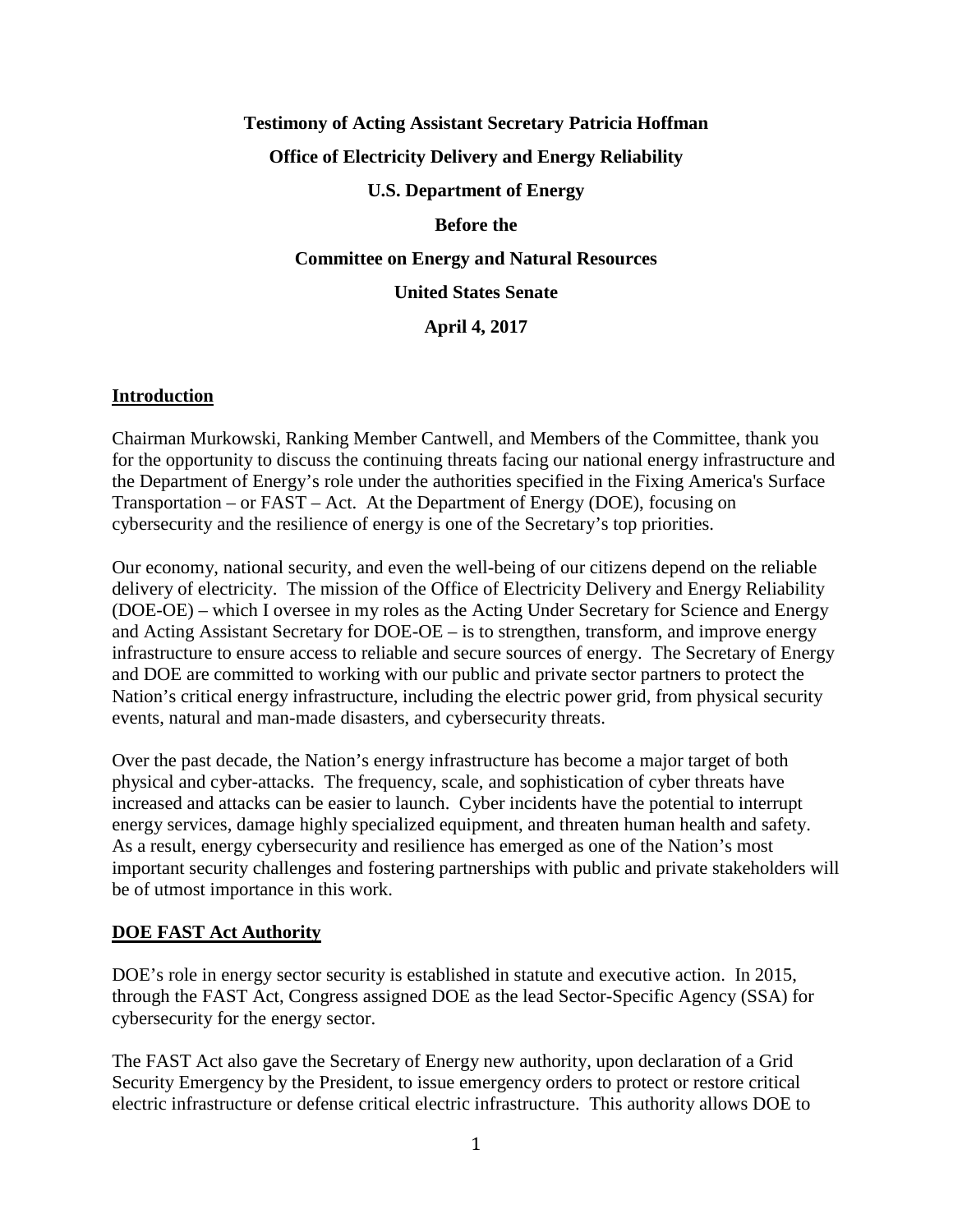# **Testimony of Acting Assistant Secretary Patricia Hoffman Office of Electricity Delivery and Energy Reliability U.S. Department of Energy**

## **Before the**

**Committee on Energy and Natural Resources**

**United States Senate**

**April 4, 2017**

#### **Introduction**

Chairman Murkowski, Ranking Member Cantwell, and Members of the Committee, thank you for the opportunity to discuss the continuing threats facing our national energy infrastructure and the Department of Energy's role under the authorities specified in the Fixing America's Surface Transportation – or FAST – Act. At the Department of Energy (DOE), focusing on cybersecurity and the resilience of energy is one of the Secretary's top priorities.

Our economy, national security, and even the well-being of our citizens depend on the reliable delivery of electricity. The mission of the Office of Electricity Delivery and Energy Reliability (DOE-OE) – which I oversee in my roles as the Acting Under Secretary for Science and Energy and Acting Assistant Secretary for DOE-OE – is to strengthen, transform, and improve energy infrastructure to ensure access to reliable and secure sources of energy. The Secretary of Energy and DOE are committed to working with our public and private sector partners to protect the Nation's critical energy infrastructure, including the electric power grid, from physical security events, natural and man-made disasters, and cybersecurity threats.

Over the past decade, the Nation's energy infrastructure has become a major target of both physical and cyber-attacks. The frequency, scale, and sophistication of cyber threats have increased and attacks can be easier to launch. Cyber incidents have the potential to interrupt energy services, damage highly specialized equipment, and threaten human health and safety. As a result, energy cybersecurity and resilience has emerged as one of the Nation's most important security challenges and fostering partnerships with public and private stakeholders will be of utmost importance in this work.

## **DOE FAST Act Authority**

DOE's role in energy sector security is established in statute and executive action. In 2015, through the FAST Act, Congress assigned DOE as the lead Sector-Specific Agency (SSA) for cybersecurity for the energy sector.

The FAST Act also gave the Secretary of Energy new authority, upon declaration of a Grid Security Emergency by the President, to issue emergency orders to protect or restore critical electric infrastructure or defense critical electric infrastructure. This authority allows DOE to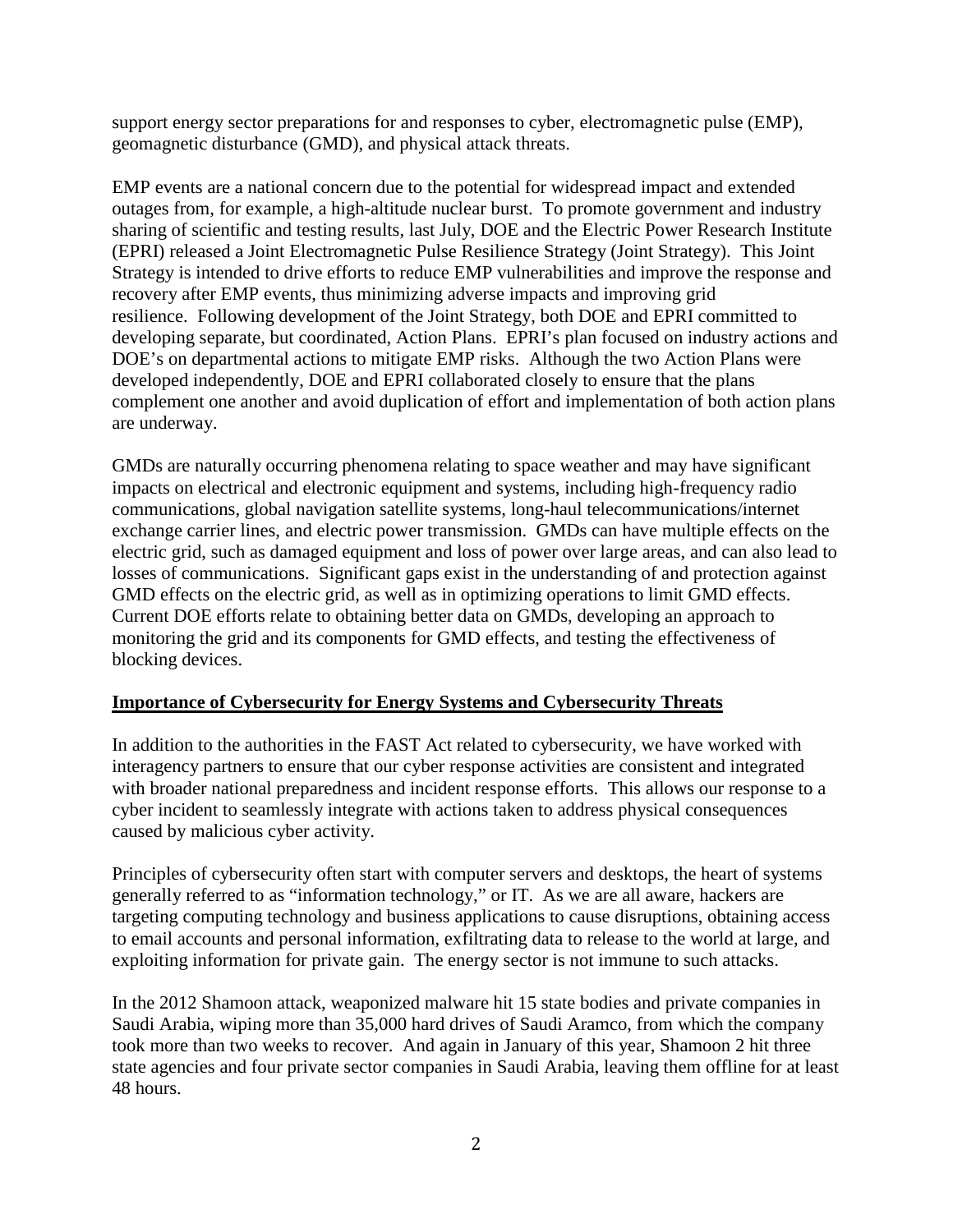support energy sector preparations for and responses to cyber, electromagnetic pulse (EMP), geomagnetic disturbance (GMD), and physical attack threats.

EMP events are a national concern due to the potential for widespread impact and extended outages from, for example, a high-altitude nuclear burst. To promote government and industry sharing of scientific and testing results, last July, DOE and the Electric Power Research Institute (EPRI) released a Joint Electromagnetic Pulse Resilience Strategy (Joint Strategy). This Joint Strategy is intended to drive efforts to reduce EMP vulnerabilities and improve the response and recovery after EMP events, thus minimizing adverse impacts and improving grid resilience. Following development of the Joint Strategy, both DOE and EPRI committed to developing separate, but coordinated, Action Plans. EPRI's plan focused on industry actions and DOE's on departmental actions to mitigate EMP risks. Although the two Action Plans were developed independently, DOE and EPRI collaborated closely to ensure that the plans complement one another and avoid duplication of effort and implementation of both action plans are underway.

GMDs are naturally occurring phenomena relating to space weather and may have significant impacts on electrical and electronic equipment and systems, including high-frequency radio communications, global navigation satellite systems, long-haul telecommunications/internet exchange carrier lines, and electric power transmission. GMDs can have multiple effects on the electric grid, such as damaged equipment and loss of power over large areas, and can also lead to losses of communications. Significant gaps exist in the understanding of and protection against GMD effects on the electric grid, as well as in optimizing operations to limit GMD effects. Current DOE efforts relate to obtaining better data on GMDs, developing an approach to monitoring the grid and its components for GMD effects, and testing the effectiveness of blocking devices.

## **Importance of Cybersecurity for Energy Systems and Cybersecurity Threats**

In addition to the authorities in the FAST Act related to cybersecurity, we have worked with interagency partners to ensure that our cyber response activities are consistent and integrated with broader national preparedness and incident response efforts. This allows our response to a cyber incident to seamlessly integrate with actions taken to address physical consequences caused by malicious cyber activity.

Principles of cybersecurity often start with computer servers and desktops, the heart of systems generally referred to as "information technology," or IT. As we are all aware, hackers are targeting computing technology and business applications to cause disruptions, obtaining access to email accounts and personal information, exfiltrating data to release to the world at large, and exploiting information for private gain. The energy sector is not immune to such attacks.

In the 2012 Shamoon attack, weaponized malware hit 15 state bodies and private companies in Saudi Arabia, wiping more than 35,000 hard drives of Saudi Aramco, from which the company took more than two weeks to recover. And again in January of this year, Shamoon 2 hit three state agencies and four private sector companies in Saudi Arabia, leaving them offline for at least 48 hours.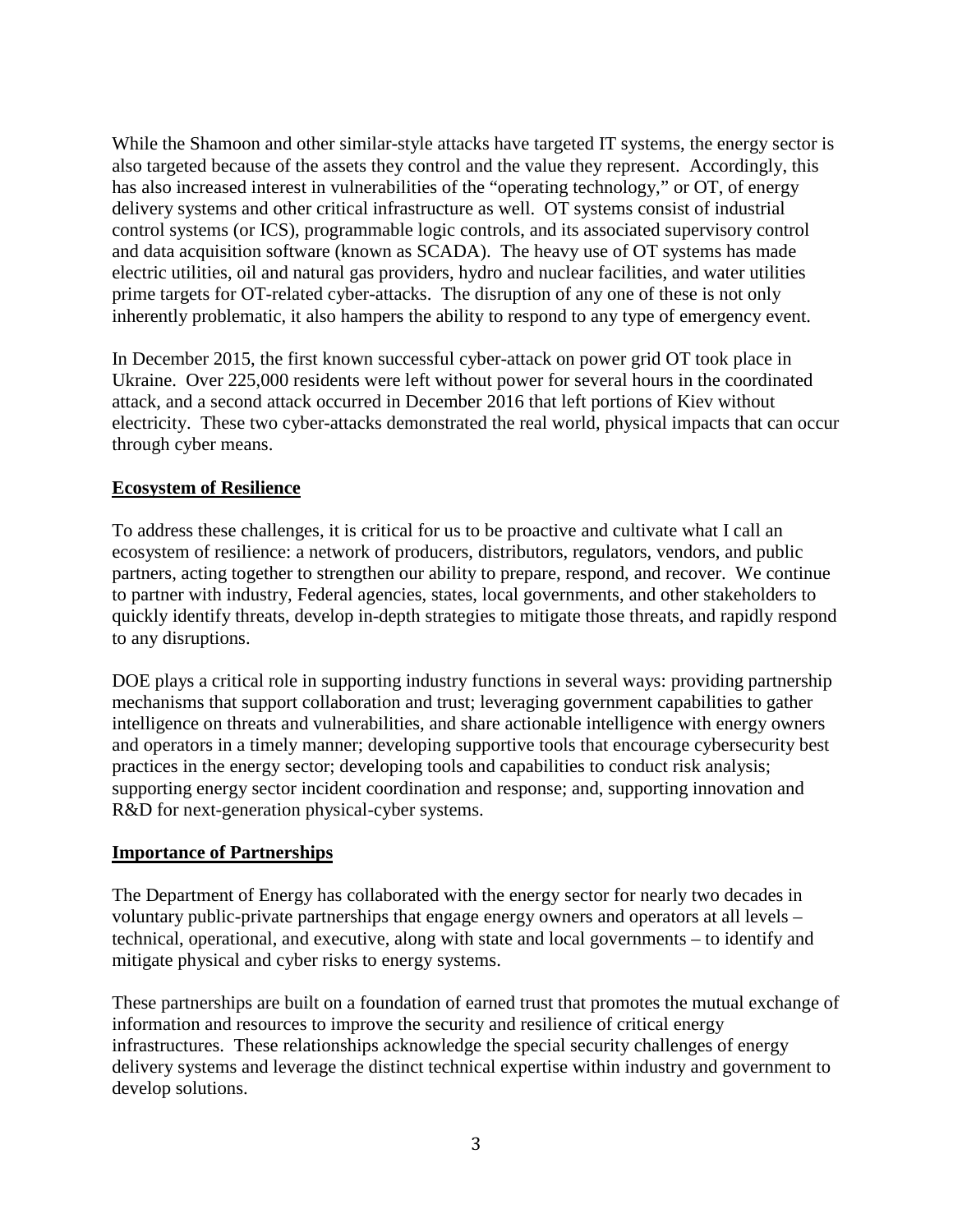While the Shamoon and other similar-style attacks have targeted IT systems, the energy sector is also targeted because of the assets they control and the value they represent. Accordingly, this has also increased interest in vulnerabilities of the "operating technology," or OT, of energy delivery systems and other critical infrastructure as well. OT systems consist of industrial control systems (or ICS), programmable logic controls, and its associated supervisory control and data acquisition software (known as SCADA). The heavy use of OT systems has made electric utilities, oil and natural gas providers, hydro and nuclear facilities, and water utilities prime targets for OT-related cyber-attacks. The disruption of any one of these is not only inherently problematic, it also hampers the ability to respond to any type of emergency event.

In December 2015, the first known successful cyber-attack on power grid OT took place in Ukraine. Over 225,000 residents were left without power for several hours in the coordinated attack, and a second attack occurred in December 2016 that left portions of Kiev without electricity. These two cyber-attacks demonstrated the real world, physical impacts that can occur through cyber means.

#### **Ecosystem of Resilience**

To address these challenges, it is critical for us to be proactive and cultivate what I call an ecosystem of resilience: a network of producers, distributors, regulators, vendors, and public partners, acting together to strengthen our ability to prepare, respond, and recover. We continue to partner with industry, Federal agencies, states, local governments, and other stakeholders to quickly identify threats, develop in-depth strategies to mitigate those threats, and rapidly respond to any disruptions.

DOE plays a critical role in supporting industry functions in several ways: providing partnership mechanisms that support collaboration and trust; leveraging government capabilities to gather intelligence on threats and vulnerabilities, and share actionable intelligence with energy owners and operators in a timely manner; developing supportive tools that encourage cybersecurity best practices in the energy sector; developing tools and capabilities to conduct risk analysis; supporting energy sector incident coordination and response; and, supporting innovation and R&D for next-generation physical-cyber systems.

#### **Importance of Partnerships**

The Department of Energy has collaborated with the energy sector for nearly two decades in voluntary public-private partnerships that engage energy owners and operators at all levels – technical, operational, and executive, along with state and local governments – to identify and mitigate physical and cyber risks to energy systems.

These partnerships are built on a foundation of earned trust that promotes the mutual exchange of information and resources to improve the security and resilience of critical energy infrastructures. These relationships acknowledge the special security challenges of energy delivery systems and leverage the distinct technical expertise within industry and government to develop solutions.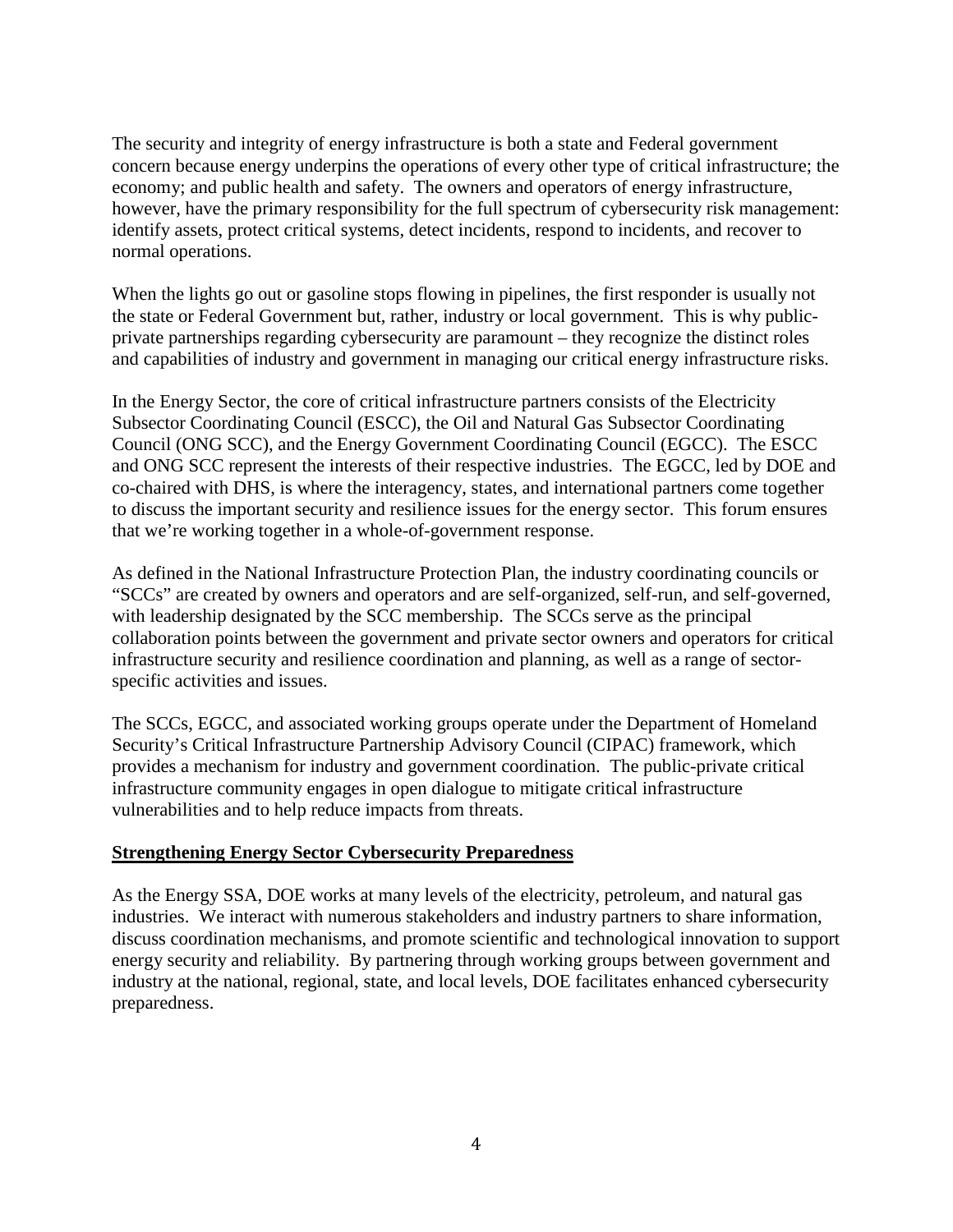The security and integrity of energy infrastructure is both a state and Federal government concern because energy underpins the operations of every other type of critical infrastructure; the economy; and public health and safety. The owners and operators of energy infrastructure, however, have the primary responsibility for the full spectrum of cybersecurity risk management: identify assets, protect critical systems, detect incidents, respond to incidents, and recover to normal operations.

When the lights go out or gasoline stops flowing in pipelines, the first responder is usually not the state or Federal Government but, rather, industry or local government. This is why publicprivate partnerships regarding cybersecurity are paramount – they recognize the distinct roles and capabilities of industry and government in managing our critical energy infrastructure risks.

In the Energy Sector, the core of critical infrastructure partners consists of the Electricity Subsector Coordinating Council (ESCC), the Oil and Natural Gas Subsector Coordinating Council (ONG SCC), and the Energy Government Coordinating Council (EGCC). The ESCC and ONG SCC represent the interests of their respective industries. The EGCC, led by DOE and co-chaired with DHS, is where the interagency, states, and international partners come together to discuss the important security and resilience issues for the energy sector. This forum ensures that we're working together in a whole-of-government response.

As defined in the National Infrastructure Protection Plan, the industry coordinating councils or "SCCs" are created by owners and operators and are self-organized, self-run, and self-governed, with leadership designated by the SCC membership. The SCCs serve as the principal collaboration points between the government and private sector owners and operators for critical infrastructure security and resilience coordination and planning, as well as a range of sectorspecific activities and issues.

The SCCs, EGCC, and associated working groups operate under the Department of Homeland Security's Critical Infrastructure Partnership Advisory Council (CIPAC) framework, which provides a mechanism for industry and government coordination. The public-private critical infrastructure community engages in open dialogue to mitigate critical infrastructure vulnerabilities and to help reduce impacts from threats.

#### **Strengthening Energy Sector Cybersecurity Preparedness**

As the Energy SSA, DOE works at many levels of the electricity, petroleum, and natural gas industries. We interact with numerous stakeholders and industry partners to share information, discuss coordination mechanisms, and promote scientific and technological innovation to support energy security and reliability. By partnering through working groups between government and industry at the national, regional, state, and local levels, DOE facilitates enhanced cybersecurity preparedness.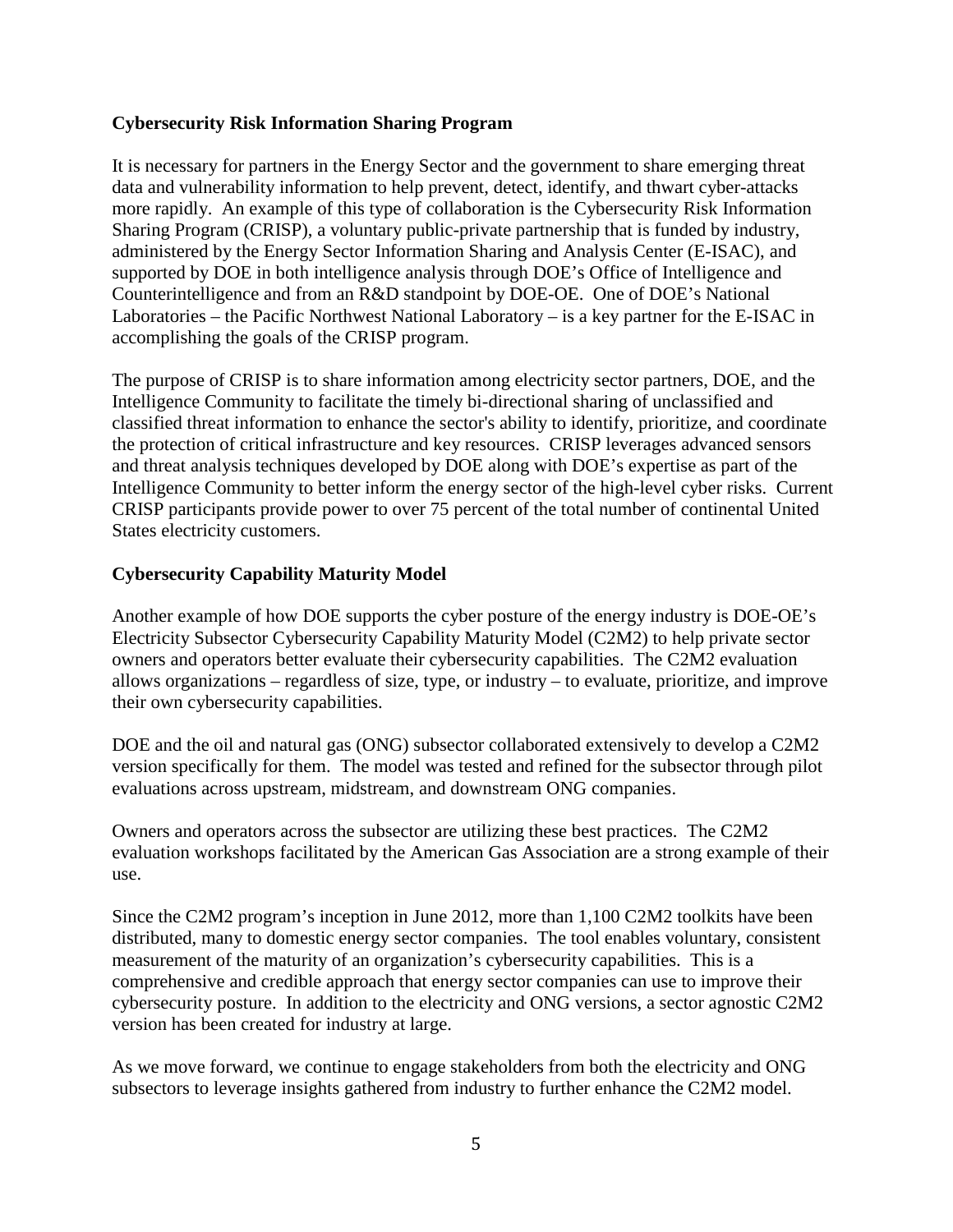#### **Cybersecurity Risk Information Sharing Program**

It is necessary for partners in the Energy Sector and the government to share emerging threat data and vulnerability information to help prevent, detect, identify, and thwart cyber-attacks more rapidly. An example of this type of collaboration is the Cybersecurity Risk Information Sharing Program (CRISP), a voluntary public-private partnership that is funded by industry, administered by the Energy Sector Information Sharing and Analysis Center (E-ISAC), and supported by DOE in both intelligence analysis through DOE's Office of Intelligence and Counterintelligence and from an R&D standpoint by DOE-OE. One of DOE's National Laboratories – the Pacific Northwest National Laboratory – is a key partner for the E-ISAC in accomplishing the goals of the CRISP program.

The purpose of CRISP is to share information among electricity sector partners, DOE, and the Intelligence Community to facilitate the timely bi-directional sharing of unclassified and classified threat information to enhance the sector's ability to identify, prioritize, and coordinate the protection of critical infrastructure and key resources. CRISP leverages advanced sensors and threat analysis techniques developed by DOE along with DOE's expertise as part of the Intelligence Community to better inform the energy sector of the high-level cyber risks. Current CRISP participants provide power to over 75 percent of the total number of continental United States electricity customers.

## **Cybersecurity Capability Maturity Model**

Another example of how DOE supports the cyber posture of the energy industry is DOE-OE's Electricity Subsector Cybersecurity Capability Maturity Model (C2M2) to help private sector owners and operators better evaluate their cybersecurity capabilities. The C2M2 evaluation allows organizations – regardless of size, type, or industry – to evaluate, prioritize, and improve their own cybersecurity capabilities.

DOE and the oil and natural gas (ONG) subsector collaborated extensively to develop a C2M2 version specifically for them. The model was tested and refined for the subsector through pilot evaluations across upstream, midstream, and downstream ONG companies.

Owners and operators across the subsector are utilizing these best practices. The C2M2 evaluation workshops facilitated by the American Gas Association are a strong example of their use.

Since the C2M2 program's inception in June 2012, more than 1,100 C2M2 toolkits have been distributed, many to domestic energy sector companies. The tool enables voluntary, consistent measurement of the maturity of an organization's cybersecurity capabilities. This is a comprehensive and credible approach that energy sector companies can use to improve their cybersecurity posture. In addition to the electricity and ONG versions, a sector agnostic C2M2 version has been created for industry at large.

As we move forward, we continue to engage stakeholders from both the electricity and ONG subsectors to leverage insights gathered from industry to further enhance the C2M2 model.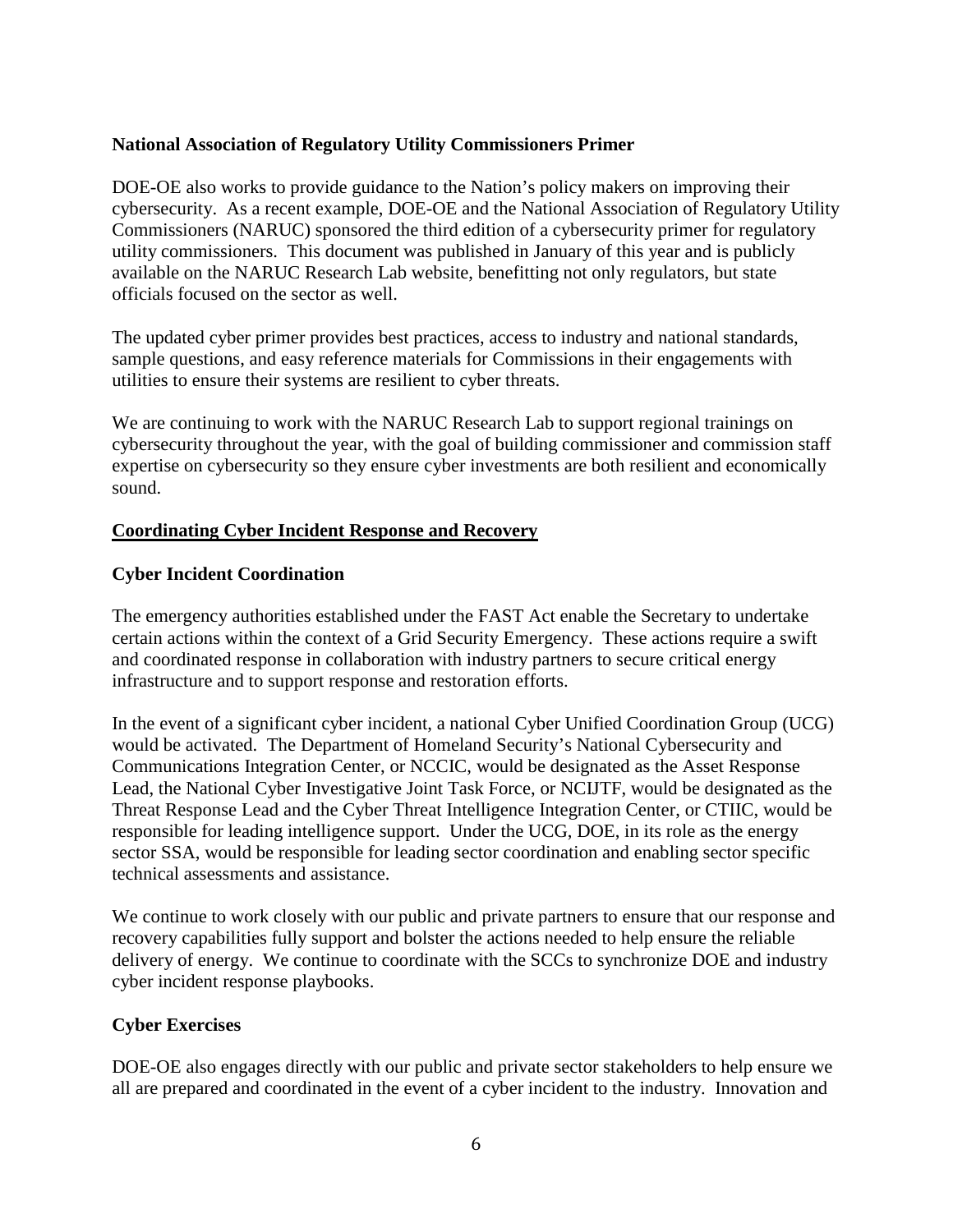#### **National Association of Regulatory Utility Commissioners Primer**

DOE-OE also works to provide guidance to the Nation's policy makers on improving their cybersecurity. As a recent example, DOE-OE and the National Association of Regulatory Utility Commissioners (NARUC) sponsored the third edition of a cybersecurity primer for regulatory utility commissioners. This document was published in January of this year and is publicly available on the NARUC Research Lab website, benefitting not only regulators, but state officials focused on the sector as well.

The updated cyber primer provides best practices, access to industry and national standards, sample questions, and easy reference materials for Commissions in their engagements with utilities to ensure their systems are resilient to cyber threats.

We are continuing to work with the NARUC Research Lab to support regional trainings on cybersecurity throughout the year, with the goal of building commissioner and commission staff expertise on cybersecurity so they ensure cyber investments are both resilient and economically sound.

#### **Coordinating Cyber Incident Response and Recovery**

#### **Cyber Incident Coordination**

The emergency authorities established under the FAST Act enable the Secretary to undertake certain actions within the context of a Grid Security Emergency. These actions require a swift and coordinated response in collaboration with industry partners to secure critical energy infrastructure and to support response and restoration efforts.

In the event of a significant cyber incident, a national Cyber Unified Coordination Group (UCG) would be activated. The Department of Homeland Security's National Cybersecurity and Communications Integration Center, or NCCIC, would be designated as the Asset Response Lead, the National Cyber Investigative Joint Task Force, or NCIJTF, would be designated as the Threat Response Lead and the Cyber Threat Intelligence Integration Center, or CTIIC, would be responsible for leading intelligence support. Under the UCG, DOE, in its role as the energy sector SSA, would be responsible for leading sector coordination and enabling sector specific technical assessments and assistance.

We continue to work closely with our public and private partners to ensure that our response and recovery capabilities fully support and bolster the actions needed to help ensure the reliable delivery of energy. We continue to coordinate with the SCCs to synchronize DOE and industry cyber incident response playbooks.

## **Cyber Exercises**

DOE-OE also engages directly with our public and private sector stakeholders to help ensure we all are prepared and coordinated in the event of a cyber incident to the industry. Innovation and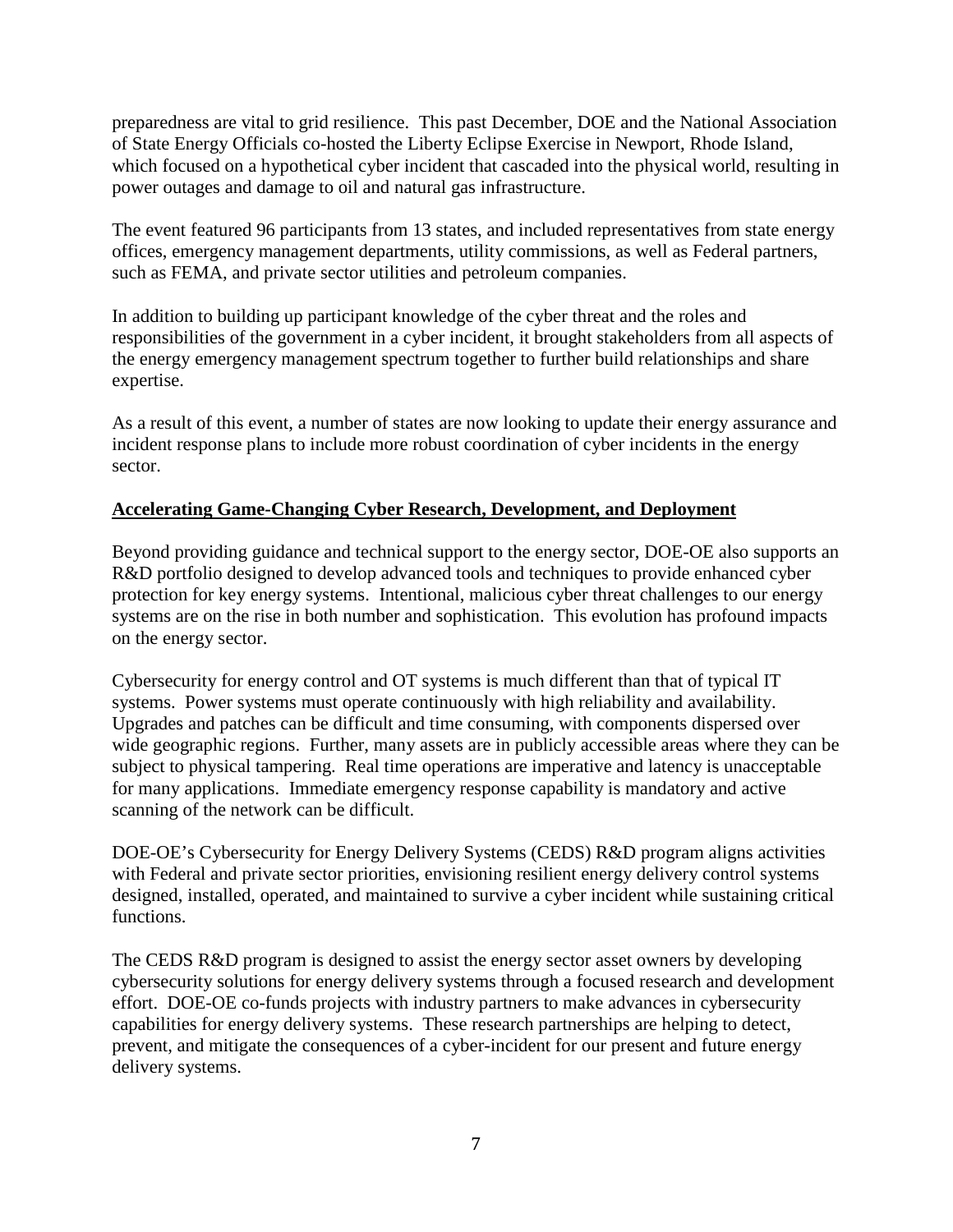preparedness are vital to grid resilience. This past December, DOE and the National Association of State Energy Officials co-hosted the Liberty Eclipse Exercise in Newport, Rhode Island, which focused on a hypothetical cyber incident that cascaded into the physical world, resulting in power outages and damage to oil and natural gas infrastructure.

The event featured 96 participants from 13 states, and included representatives from state energy offices, emergency management departments, utility commissions, as well as Federal partners, such as FEMA, and private sector utilities and petroleum companies.

In addition to building up participant knowledge of the cyber threat and the roles and responsibilities of the government in a cyber incident, it brought stakeholders from all aspects of the energy emergency management spectrum together to further build relationships and share expertise.

As a result of this event, a number of states are now looking to update their energy assurance and incident response plans to include more robust coordination of cyber incidents in the energy sector.

#### **Accelerating Game-Changing Cyber Research, Development, and Deployment**

Beyond providing guidance and technical support to the energy sector, DOE-OE also supports an R&D portfolio designed to develop advanced tools and techniques to provide enhanced cyber protection for key energy systems. Intentional, malicious cyber threat challenges to our energy systems are on the rise in both number and sophistication. This evolution has profound impacts on the energy sector.

Cybersecurity for energy control and OT systems is much different than that of typical IT systems. Power systems must operate continuously with high reliability and availability. Upgrades and patches can be difficult and time consuming, with components dispersed over wide geographic regions. Further, many assets are in publicly accessible areas where they can be subject to physical tampering. Real time operations are imperative and latency is unacceptable for many applications. Immediate emergency response capability is mandatory and active scanning of the network can be difficult.

DOE-OE's Cybersecurity for Energy Delivery Systems (CEDS) R&D program aligns activities with Federal and private sector priorities, envisioning resilient energy delivery control systems designed, installed, operated, and maintained to survive a cyber incident while sustaining critical functions.

The CEDS R&D program is designed to assist the energy sector asset owners by developing cybersecurity solutions for energy delivery systems through a focused research and development effort. DOE-OE co-funds projects with industry partners to make advances in cybersecurity capabilities for energy delivery systems. These research partnerships are helping to detect, prevent, and mitigate the consequences of a cyber-incident for our present and future energy delivery systems.